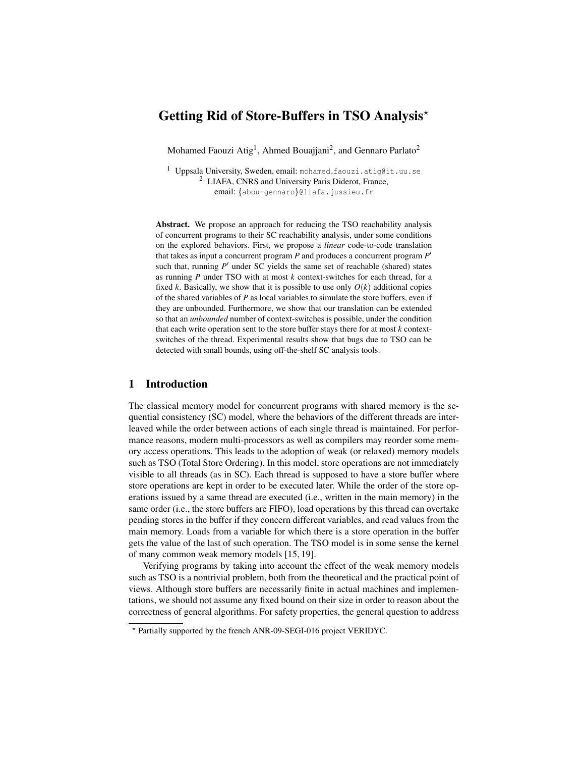# Getting Rid of Store-Buffers in TSO Analysis?

Mohamed Faouzi Atig<sup>1</sup>, Ahmed Bouajjani<sup>2</sup>, and Gennaro Parlato<sup>2</sup>

<sup>1</sup> Uppsala University, Sweden, email: mohamed\_faouzi.atig@it.uu.se <sup>2</sup> LIAFA, CNRS and University Paris Diderot, France, email: {abou+gennaro}@liafa.jussieu.fr

Abstract. We propose an approach for reducing the TSO reachability analysis of concurrent programs to their SC reachability analysis, under some conditions on the explored behaviors. First, we propose a *linear* code-to-code translation that takes as input a concurrent program  $P$  and produces a concurrent program  $P'$ such that, running  $P'$  under SC yields the same set of reachable (shared) states as running *P* under TSO with at most *k* context-switches for each thread, for a fixed *k*. Basically, we show that it is possible to use only  $O(k)$  additional copies of the shared variables of *P* as local variables to simulate the store buffers, even if they are unbounded. Furthermore, we show that our translation can be extended so that an *unbounded* number of context-switches is possible, under the condition that each write operation sent to the store buffer stays there for at most *k* contextswitches of the thread. Experimental results show that bugs due to TSO can be detected with small bounds, using off-the-shelf SC analysis tools.

## 1 Introduction

The classical memory model for concurrent programs with shared memory is the sequential consistency (SC) model, where the behaviors of the different threads are interleaved while the order between actions of each single thread is maintained. For performance reasons, modern multi-processors as well as compilers may reorder some memory access operations. This leads to the adoption of weak (or relaxed) memory models such as TSO (Total Store Ordering). In this model, store operations are not immediately visible to all threads (as in SC). Each thread is supposed to have a store buffer where store operations are kept in order to be executed later. While the order of the store operations issued by a same thread are executed (i.e., written in the main memory) in the same order (i.e., the store buffers are FIFO), load operations by this thread can overtake pending stores in the buffer if they concern different variables, and read values from the main memory. Loads from a variable for which there is a store operation in the buffer gets the value of the last of such operation. The TSO model is in some sense the kernel of many common weak memory models [15, 19].

Verifying programs by taking into account the effect of the weak memory models such as TSO is a nontrivial problem, both from the theoretical and the practical point of views. Although store buffers are necessarily finite in actual machines and implementations, we should not assume any fixed bound on their size in order to reason about the correctness of general algorithms. For safety properties, the general question to address

<sup>?</sup> Partially supported by the french ANR-09-SEGI-016 project VERIDYC.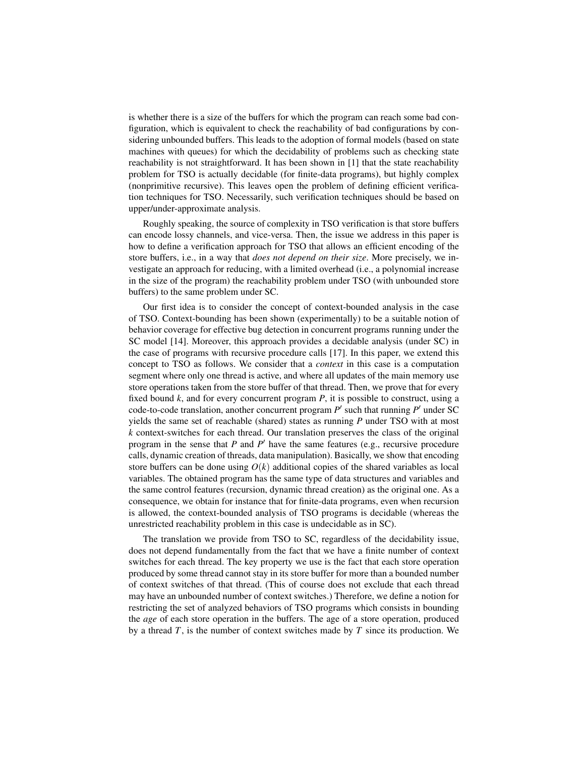is whether there is a size of the buffers for which the program can reach some bad configuration, which is equivalent to check the reachability of bad configurations by considering unbounded buffers. This leads to the adoption of formal models (based on state machines with queues) for which the decidability of problems such as checking state reachability is not straightforward. It has been shown in [1] that the state reachability problem for TSO is actually decidable (for finite-data programs), but highly complex (nonprimitive recursive). This leaves open the problem of defining efficient verification techniques for TSO. Necessarily, such verification techniques should be based on upper/under-approximate analysis.

Roughly speaking, the source of complexity in TSO verification is that store buffers can encode lossy channels, and vice-versa. Then, the issue we address in this paper is how to define a verification approach for TSO that allows an efficient encoding of the store buffers, i.e., in a way that *does not depend on their size*. More precisely, we investigate an approach for reducing, with a limited overhead (i.e., a polynomial increase in the size of the program) the reachability problem under TSO (with unbounded store buffers) to the same problem under SC.

Our first idea is to consider the concept of context-bounded analysis in the case of TSO. Context-bounding has been shown (experimentally) to be a suitable notion of behavior coverage for effective bug detection in concurrent programs running under the SC model [14]. Moreover, this approach provides a decidable analysis (under SC) in the case of programs with recursive procedure calls [17]. In this paper, we extend this concept to TSO as follows. We consider that a *context* in this case is a computation segment where only one thread is active, and where all updates of the main memory use store operations taken from the store buffer of that thread. Then, we prove that for every fixed bound *k*, and for every concurrent program *P*, it is possible to construct, using a code-to-code translation, another concurrent program  $P'$  such that running  $P'$  under SC yields the same set of reachable (shared) states as running *P* under TSO with at most *k* context-switches for each thread. Our translation preserves the class of the original program in the sense that  $P$  and  $P'$  have the same features (e.g., recursive procedure calls, dynamic creation of threads, data manipulation). Basically, we show that encoding store buffers can be done using  $O(k)$  additional copies of the shared variables as local variables. The obtained program has the same type of data structures and variables and the same control features (recursion, dynamic thread creation) as the original one. As a consequence, we obtain for instance that for finite-data programs, even when recursion is allowed, the context-bounded analysis of TSO programs is decidable (whereas the unrestricted reachability problem in this case is undecidable as in SC).

The translation we provide from TSO to SC, regardless of the decidability issue, does not depend fundamentally from the fact that we have a finite number of context switches for each thread. The key property we use is the fact that each store operation produced by some thread cannot stay in its store buffer for more than a bounded number of context switches of that thread. (This of course does not exclude that each thread may have an unbounded number of context switches.) Therefore, we define a notion for restricting the set of analyzed behaviors of TSO programs which consists in bounding the *age* of each store operation in the buffers. The age of a store operation, produced by a thread *T*, is the number of context switches made by *T* since its production. We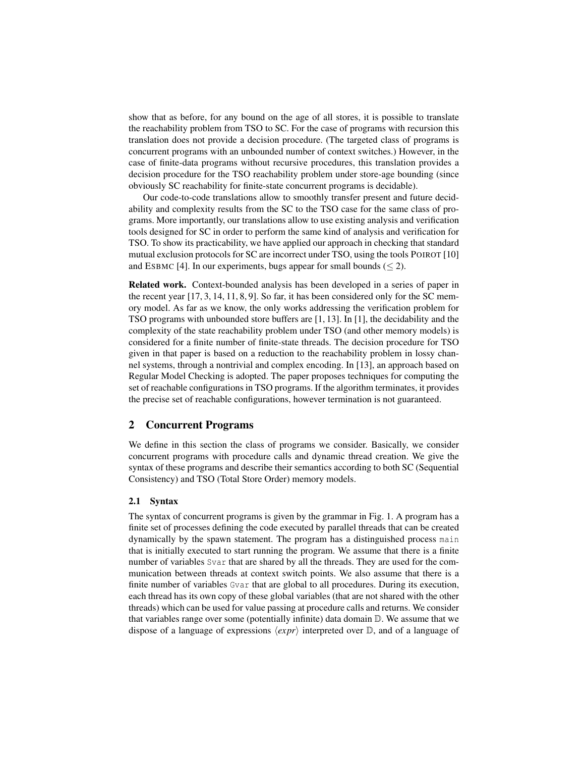show that as before, for any bound on the age of all stores, it is possible to translate the reachability problem from TSO to SC. For the case of programs with recursion this translation does not provide a decision procedure. (The targeted class of programs is concurrent programs with an unbounded number of context switches.) However, in the case of finite-data programs without recursive procedures, this translation provides a decision procedure for the TSO reachability problem under store-age bounding (since obviously SC reachability for finite-state concurrent programs is decidable).

Our code-to-code translations allow to smoothly transfer present and future decidability and complexity results from the SC to the TSO case for the same class of programs. More importantly, our translations allow to use existing analysis and verification tools designed for SC in order to perform the same kind of analysis and verification for TSO. To show its practicability, we have applied our approach in checking that standard mutual exclusion protocols for SC are incorrect under TSO, using the tools POIROT [10] and ESBMC [4]. In our experiments, bugs appear for small bounds ( $\leq$  2).

Related work. Context-bounded analysis has been developed in a series of paper in the recent year [17, 3, 14, 11, 8, 9]. So far, it has been considered only for the SC memory model. As far as we know, the only works addressing the verification problem for TSO programs with unbounded store buffers are [1, 13]. In [1], the decidability and the complexity of the state reachability problem under TSO (and other memory models) is considered for a finite number of finite-state threads. The decision procedure for TSO given in that paper is based on a reduction to the reachability problem in lossy channel systems, through a nontrivial and complex encoding. In [13], an approach based on Regular Model Checking is adopted. The paper proposes techniques for computing the set of reachable configurations in TSO programs. If the algorithm terminates, it provides the precise set of reachable configurations, however termination is not guaranteed.

## 2 Concurrent Programs

We define in this section the class of programs we consider. Basically, we consider concurrent programs with procedure calls and dynamic thread creation. We give the syntax of these programs and describe their semantics according to both SC (Sequential Consistency) and TSO (Total Store Order) memory models.

#### 2.1 Syntax

The syntax of concurrent programs is given by the grammar in Fig. 1. A program has a finite set of processes defining the code executed by parallel threads that can be created dynamically by the spawn statement. The program has a distinguished process main that is initially executed to start running the program. We assume that there is a finite number of variables Svar that are shared by all the threads. They are used for the communication between threads at context switch points. We also assume that there is a finite number of variables Gvar that are global to all procedures. During its execution, each thread has its own copy of these global variables (that are not shared with the other threads) which can be used for value passing at procedure calls and returns. We consider that variables range over some (potentially infinite) data domain D. We assume that we dispose of a language of expressions  $\langle expr \rangle$  interpreted over D, and of a language of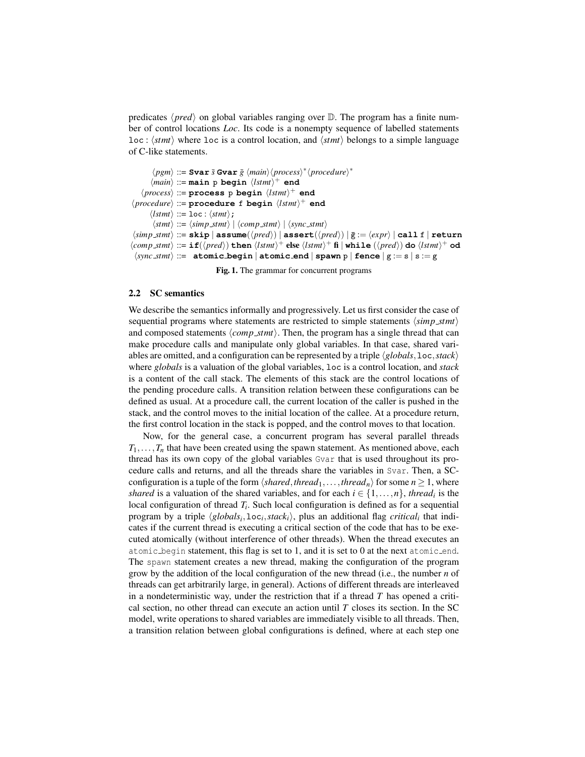predicates  $\langle pred \rangle$  on global variables ranging over D. The program has a finite number of control locations *Loc*. Its code is a nonempty sequence of labelled statements  $loc$ :  $\langle$ *stmt* $\rangle$  where loc is a control location, and  $\langle$ *stmt* $\rangle$  belongs to a simple language of C-like statements.

 $\langle pgm \rangle ::=$  **Svar** *s*̄ **Gvar** *g*<sup> $\langle main \rangle$  *(process*)<sup>\*</sup>  $\langle procedure \rangle^*$ </sup>  $\langle main \rangle ::= \text{main } p \text{ begin } \langle \text{Istmt} \rangle^+ \text{ end}$  $\langle process \rangle ::=$  **process p** begin  $\langle Istmt \rangle^+$  end  $\langle procedure \rangle ::=$  procedure f begin  $\langle Istm \rangle^+$  end  $\langle$ *lstmt* $\rangle$  ::= loc :  $\langle$ *stmt* $\rangle$ **;**  $\langle$ *stmt* $\rangle ::= \langle$ *simp\_stmt* $\rangle | \langle comp\_stmt \rangle | \langle sync\_stmt \rangle$  $\langle \sinp \text{ fmt} \rangle ::=$  **skip**  $|$  **assume** $(\langle \text{pred} \rangle) |$  **assert** $(\langle \text{pred} \rangle) |$   $\bar{g} := \langle \text{expr} \rangle |$  **call** f  $|$  **return**  $\langle comp\_stmt \rangle ::= \textbf{if}(\langle pred \rangle) \textbf{ then } \langle lstm \rangle^+ \textbf{ else } \langle lstm \rangle^+ \textbf{ fi} \textbf{ while } (\langle pred \rangle) \textbf{ do } \langle lstm \rangle^+ \textbf{ od}$ h*sync stmt*i ::= **atomic begin** | **atomic end** | **spawn** p | **fence** | g := s | s := g

Fig. 1. The grammar for concurrent programs

### 2.2 SC semantics

We describe the semantics informally and progressively. Let us first consider the case of sequential programs where statements are restricted to simple statements  $\langle \textit{simp\_stm} \rangle$ and composed statements  $\langle comp\_stmt \rangle$ . Then, the program has a single thread that can make procedure calls and manipulate only global variables. In that case, shared variables are omitted, and a configuration can be represented by a triple  $\langle globals,loc,stack\rangle$ where *globals* is a valuation of the global variables, loc is a control location, and *stack* is a content of the call stack. The elements of this stack are the control locations of the pending procedure calls. A transition relation between these configurations can be defined as usual. At a procedure call, the current location of the caller is pushed in the stack, and the control moves to the initial location of the callee. At a procedure return, the first control location in the stack is popped, and the control moves to that location.

Now, for the general case, a concurrent program has several parallel threads  $T_1$ ,..., $T_n$  that have been created using the spawn statement. As mentioned above, each thread has its own copy of the global variables Gvar that is used throughout its procedure calls and returns, and all the threads share the variables in Svar. Then, a SCconfiguration is a tuple of the form  $\langle shared, thread_1, \ldots, thread_n \rangle$  for some  $n \geq 1$ , where *shared* is a valuation of the shared variables, and for each  $i \in \{1, ..., n\}$ , *thread<sub>i</sub>* is the local configuration of thread  $T_i$ . Such local configuration is defined as for a sequential program by a triple  $\langle \text{globals}_i, \text{loc}_i, \text{stack}_i \rangle$ , plus an additional flag *critical<sub>i</sub>* that indicates if the current thread is executing a critical section of the code that has to be executed atomically (without interference of other threads). When the thread executes an atomic begin statement, this flag is set to 1, and it is set to 0 at the next atomic end. The spawn statement creates a new thread, making the configuration of the program grow by the addition of the local configuration of the new thread (i.e., the number *n* of threads can get arbitrarily large, in general). Actions of different threads are interleaved in a nondeterministic way, under the restriction that if a thread *T* has opened a critical section, no other thread can execute an action until *T* closes its section. In the SC model, write operations to shared variables are immediately visible to all threads. Then, a transition relation between global configurations is defined, where at each step one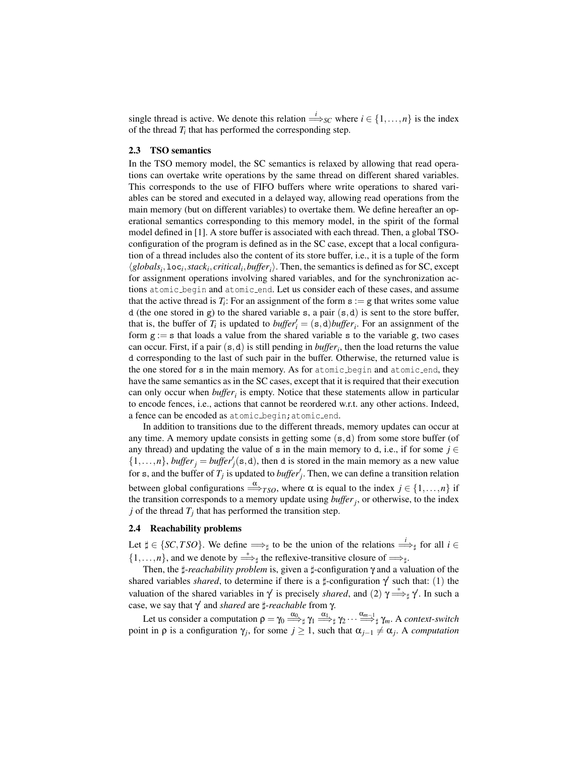single thread is active. We denote this relation  $\Rightarrow_{SC}$  where  $i \in \{1, \ldots, n\}$  is the index of the thread  $T_i$  that has performed the corresponding step.

### 2.3 TSO semantics

In the TSO memory model, the SC semantics is relaxed by allowing that read operations can overtake write operations by the same thread on different shared variables. This corresponds to the use of FIFO buffers where write operations to shared variables can be stored and executed in a delayed way, allowing read operations from the main memory (but on different variables) to overtake them. We define hereafter an operational semantics corresponding to this memory model, in the spirit of the formal model defined in [1]. A store buffer is associated with each thread. Then, a global TSOconfiguration of the program is defined as in the SC case, except that a local configuration of a thread includes also the content of its store buffer, i.e., it is a tuple of the form  $\langle \text{globals}_i, \text{loc}_i, \text{stack}_i, \text{critical}_i, \text{buffer}_i \rangle$ . Then, the semantics is defined as for SC, except for assignment operations involving shared variables, and for the synchronization actions atomic begin and atomic end. Let us consider each of these cases, and assume that the active thread is  $T_i$ : For an assignment of the form  $s := g$  that writes some value d (the one stored in g) to the shared variable s, a pair  $(s, d)$  is sent to the store buffer, that is, the buffer of  $T_i$  is updated to  $buffer'_i = (s,d)buffer_i$ . For an assignment of the form  $g := s$  that loads a value from the shared variable s to the variable g, two cases can occur. First, if a pair (s,d) is still pending in *buffer<sup>i</sup>* , then the load returns the value d corresponding to the last of such pair in the buffer. Otherwise, the returned value is the one stored for s in the main memory. As for atomic begin and atomic end, they have the same semantics as in the SC cases, except that it is required that their execution can only occur when *buffer<sup>i</sup>* is empty. Notice that these statements allow in particular to encode fences, i.e., actions that cannot be reordered w.r.t. any other actions. Indeed, a fence can be encoded as atomic\_begin; atomic\_end.

In addition to transitions due to the different threads, memory updates can occur at any time. A memory update consists in getting some  $(s, d)$  from some store buffer (of any thread) and updating the value of s in the main memory to d, i.e., if for some  $j \in$  $\{1,\ldots,n\}$ , *buffer*  $j = buffer'_{j}(s,d)$ , then d is stored in the main memory as a new value for s, and the buffer of  $T_j$  is updated to *buffer*<sup> $j$ </sup>. Then, we can define a transition relation between global configurations  $\stackrel{\alpha}{\Longrightarrow}_{TSO}$ , where  $\alpha$  is equal to the index  $j \in \{1, ..., n\}$  if the transition corresponds to a memory update using *buffer<sup>j</sup>* , or otherwise, to the index *j* of the thread  $T_j$  that has performed the transition step.

#### 2.4 Reachability problems

Let  $\sharp \in \{SC, TSO\}$ . We define  $\Longrightarrow_{\sharp}$  to be the union of the relations  $\Longrightarrow_{\sharp}$  for all  $i \in$  $\{1,\ldots,n\}$ , and we denote by  $\stackrel{*}{\Longrightarrow}_{\sharp}$  the reflexive-transitive closure of  $\Longrightarrow_{\sharp}$ .

Then, the  $\sharp$ -*reachability problem* is, given a  $\sharp$ -configuration γ and a valuation of the shared variables *shared*, to determine if there is a  $\sharp$ -configuration  $\gamma'$  such that: (1) the valuation of the shared variables in  $\gamma$  is precisely *shared*, and (2)  $\gamma \stackrel{*}{\Longrightarrow}_{\sharp} \gamma$ . In such a case, we say that  $\gamma'$  and *shared* are  $\sharp$ -*reachable* from γ.

Let us consider a computation  $\rho = \gamma_0 \stackrel{\alpha_0}{\Longrightarrow}_\sharp \gamma_1 \stackrel{\alpha_1}{\Longrightarrow}_\sharp \gamma_2 \cdots \stackrel{\alpha_{m-1}}{\Longrightarrow}_\sharp \gamma_m$ . A *context-switch* point in  $\rho$  is a configuration  $\gamma_j$ , for some  $j \geq 1$ , such that  $\alpha_{j-1} \neq \alpha_j$ . A *computation*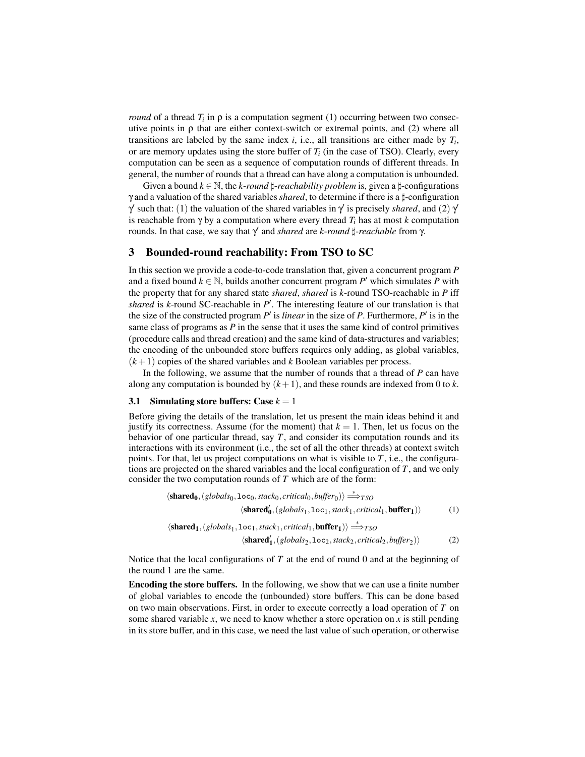*round* of a thread  $T_i$  in  $\rho$  is a computation segment (1) occurring between two consecutive points in  $\rho$  that are either context-switch or extremal points, and (2) where all transitions are labeled by the same index *i*, i.e., all transitions are either made by *T<sup>i</sup>* , or are memory updates using the store buffer of  $T_i$  (in the case of TSO). Clearly, every computation can be seen as a sequence of computation rounds of different threads. In general, the number of rounds that a thread can have along a computation is unbounded.

Given a bound  $k \in \mathbb{N}$ , the *k-round*  $\sharp$ -*reachability problem* is, given a  $\sharp$ -configurations γ and a valuation of the shared variables *shared*, to determine if there is a ]-configuration  $\gamma'$  such that: (1) the valuation of the shared variables in  $\gamma'$  is precisely *shared*, and (2)  $\gamma'$ is reachable from  $\gamma$  by a computation where every thread  $T_i$  has at most  $k$  computation rounds. In that case, we say that γ 0 and *shared* are *k*-*round* ]-*reachable* from γ.

## 3 Bounded-round reachability: From TSO to SC

In this section we provide a code-to-code translation that, given a concurrent program *P* and a fixed bound  $k \in \mathbb{N}$ , builds another concurrent program  $P'$  which simulates  $\overline{P}$  with the property that for any shared state *shared*, *shared* is *k*-round TSO-reachable in *P* iff shared is  $k$ -round SC-reachable in  $P'$ . The interesting feature of our translation is that the size of the constructed program  $P'$  is *linear* in the size of  $P$ . Furthermore,  $P'$  is in the same class of programs as *P* in the sense that it uses the same kind of control primitives (procedure calls and thread creation) and the same kind of data-structures and variables; the encoding of the unbounded store buffers requires only adding, as global variables,  $(k+1)$  copies of the shared variables and *k* Boolean variables per process.

In the following, we assume that the number of rounds that a thread of *P* can have along any computation is bounded by  $(k+1)$ , and these rounds are indexed from 0 to *k*.

#### 3.1 Simulating store buffers: Case  $k = 1$

Before giving the details of the translation, let us present the main ideas behind it and justify its correctness. Assume (for the moment) that  $k = 1$ . Then, let us focus on the behavior of one particular thread, say  $T$ , and consider its computation rounds and its interactions with its environment (i.e., the set of all the other threads) at context switch points. For that, let us project computations on what is visible to *T*, i.e., the configurations are projected on the shared variables and the local configuration of *T*, and we only consider the two computation rounds of *T* which are of the form:

$$
\langle \mathbf{shared}_0, (globals_0, \text{loc}_0, stack_0, critical_0, buffer_0) \rangle \stackrel{*}{\Longrightarrow}_{TSO} \langle \mathbf{shared}'_0, (globals_1, \text{loc}_1, stack_1, critical_1, \mathbf{buffer}_1) \rangle \tag{1}
$$
\n
$$
\langle \mathbf{shared}_1, (globals_1, \text{loc}_1, stack_1, critical_1, \mathbf{buffer}_1) \rangle \stackrel{*}{\Longrightarrow}_{TSO} \langle \mathbf{shared}'_1, (globals_2, \text{loc}_2, stack_2, critical_2, buffer_2) \rangle \tag{2}
$$

Notice that the local configurations of *T* at the end of round 0 and at the beginning of the round 1 are the same.

Encoding the store buffers. In the following, we show that we can use a finite number of global variables to encode the (unbounded) store buffers. This can be done based on two main observations. First, in order to execute correctly a load operation of *T* on some shared variable  $x$ , we need to know whether a store operation on  $x$  is still pending in its store buffer, and in this case, we need the last value of such operation, or otherwise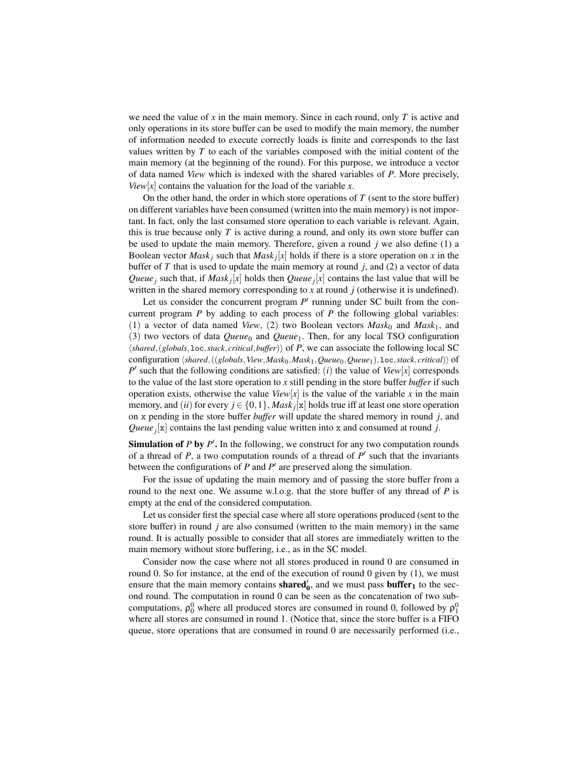we need the value of *x* in the main memory. Since in each round, only *T* is active and only operations in its store buffer can be used to modify the main memory, the number of information needed to execute correctly loads is finite and corresponds to the last values written by *T* to each of the variables composed with the initial content of the main memory (at the beginning of the round). For this purpose, we introduce a vector of data named *View* which is indexed with the shared variables of *P*. More precisely, *View*[ $x$ ] contains the valuation for the load of the variable  $x$ .

On the other hand, the order in which store operations of *T* (sent to the store buffer) on different variables have been consumed (written into the main memory) is not important. In fact, only the last consumed store operation to each variable is relevant. Again, this is true because only *T* is active during a round, and only its own store buffer can be used to update the main memory. Therefore, given a round *j* we also define (1) a Boolean vector  $Mask_j$  such that  $Mask_j[x]$  holds if there is a store operation on x in the buffer of *T* that is used to update the main memory at round  $j$ , and (2) a vector of data *Queue<sub>j</sub>* such that, if  $Mask_j[x]$  holds then *Queue<sub>j</sub>*[*x*] contains the last value that will be written in the shared memory corresponding to *x* at round *j* (otherwise it is undefined).

Let us consider the concurrent program  $P'$  running under SC built from the concurrent program *P* by adding to each process of *P* the following global variables:  $(1)$  a vector of data named *View*,  $(2)$  two Boolean vectors *Mask*<sub>0</sub> and *Mask*<sub>1</sub>, and  $(3)$  two vectors of data *Queue*<sub>0</sub> and *Queue*<sub>1</sub>. Then, for any local TSO configuration h*shared*,(*globals*,loc,*stack*, *critical*,*buffer*)i of *P*, we can associate the following local SC configuration h*shared*,((*globals*,*View*,*Mask*0,*Mask*1,*Queue*<sup>0</sup> ,*Queue*<sup>1</sup> ),loc,*stack*, *critical*)i of  $P'$  such that the following conditions are satisfied: (*i*) the value of *View*[*x*] corresponds to the value of the last store operation to *x* still pending in the store buffer *buffer* if such operation exists, otherwise the value *View*[ $x$ ] is the value of the variable  $x$  in the main memory, and (*ii*) for every  $j \in \{0,1\}$ ,  $\text{Mask}_j[x]$  holds true iff at least one store operation on x pending in the store buffer *buffer* will update the shared memory in round *j*, and *Queue<sup>j</sup>* [x] contains the last pending value written into x and consumed at round *j*.

Simulation of *P* by *P'*. In the following, we construct for any two computation rounds of a thread of  $P$ , a two computation rounds of a thread of  $P'$  such that the invariants between the configurations of  $P$  and  $P'$  are preserved along the simulation.

For the issue of updating the main memory and of passing the store buffer from a round to the next one. We assume w.l.o.g. that the store buffer of any thread of P is empty at the end of the considered computation.

Let us consider first the special case where all store operations produced (sent to the store buffer) in round *j* are also consumed (written to the main memory) in the same round. It is actually possible to consider that all stores are immediately written to the main memory without store buffering, i.e., as in the SC model.

Consider now the case where not all stores produced in round 0 are consumed in round 0. So for instance, at the end of the execution of round 0 given by (1), we must ensure that the main memory contains **shared**<sup> $\theta$ </sup>, and we must pass **buffer**<sub>1</sub> to the second round. The computation in round 0 can be seen as the concatenation of two subcomputations,  $\rho_0^0$  where all produced stores are consumed in round 0, followed by  $\rho_1^0$ where all stores are consumed in round 1. (Notice that, since the store buffer is a FIFO queue, store operations that are consumed in round 0 are necessarily performed (i.e.,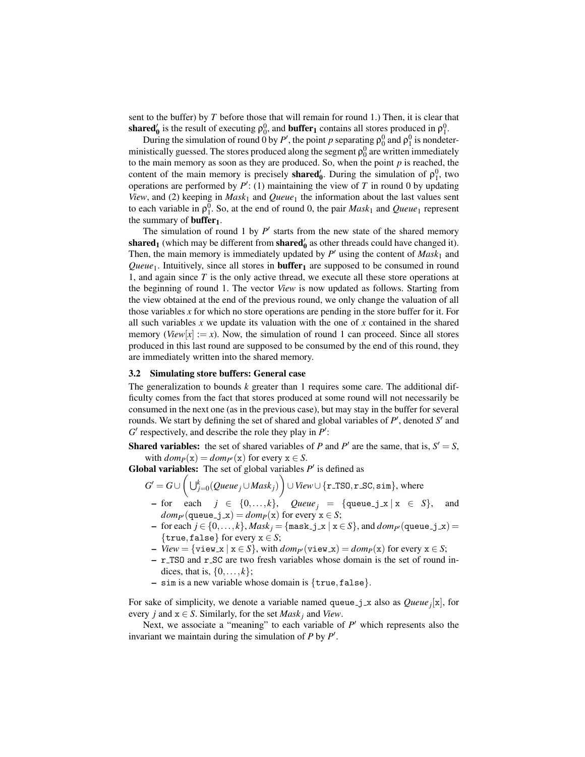sent to the buffer) by *T* before those that will remain for round 1.) Then, it is clear that shared<sup>'</sup><sub>0</sub> is the result of executing  $\rho_0^0$ , and **buffer**<sub>1</sub> contains all stores produced in  $\rho_1^0$ .

During the simulation of round 0 by *P'*, the point *p* separating  $\rho_0^0$  and  $\rho_1^0$  is nondeterministically guessed. The stores produced along the segment  $\rho_0^0$  are written immediately to the main memory as soon as they are produced. So, when the point *p* is reached, the content of the main memory is precisely **shared**<sup> $\prime$ </sup> During the simulation of  $\rho_1^0$ , two operations are performed by  $P'$ : (1) maintaining the view of *T* in round 0 by updating *View*, and (2) keeping in *Mask*<sub>1</sub> and *Queue*<sub>1</sub> the information about the last values sent to each variable in  $\rho_1^0$ . So, at the end of round 0, the pair *Mask*<sub>1</sub> and *Queue*<sub>1</sub> represent the summary of **buffer**<sub>1</sub>.

The simulation of round 1 by  $P'$  starts from the new state of the shared memory shared<sub>1</sub> (which may be different from shared $'_0$  as other threads could have changed it). Then, the main memory is immediately updated by  $P'$  using the content of  $Mask_1$  and Queue<sub>1</sub>. Intuitively, since all stores in **buffer**<sub>1</sub> are supposed to be consumed in round 1, and again since *T* is the only active thread, we execute all these store operations at the beginning of round 1. The vector *View* is now updated as follows. Starting from the view obtained at the end of the previous round, we only change the valuation of all those variables *x* for which no store operations are pending in the store buffer for it. For all such variables *x* we update its valuation with the one of *x* contained in the shared memory (*View*[ $x$ ] :=  $x$ ). Now, the simulation of round 1 can proceed. Since all stores produced in this last round are supposed to be consumed by the end of this round, they are immediately written into the shared memory.

#### 3.2 Simulating store buffers: General case

The generalization to bounds *k* greater than 1 requires some care. The additional difficulty comes from the fact that stores produced at some round will not necessarily be consumed in the next one (as in the previous case), but may stay in the buffer for several rounds. We start by defining the set of shared and global variables of  $P'$ , denoted  $S'$  and  $G'$  respectively, and describe the role they play in  $P'$ :

**Shared variables:** the set of shared variables of *P* and *P'* are the same, that is,  $S' = S$ , with  $dom_P(x) = dom_{P'}(x)$  for every  $x \in S$ .

**Global variables:** The set of global variables  $P'$  is defined as

$$
G' = G \cup \left( \bigcup_{j=0}^{k} (Queue_j \cup Mask_j) \right) \cup View \cup \{ \texttt{r\_TS0}, \texttt{r\_SC}, \texttt{sim} \}, \text{ where }
$$

- for each *j* ∈ {0,...,*k*}, *Queue<sub>j</sub>* = {queue\_j\_x | x ∈ *S*}, and  $dom_{P}(\text{queue_j_x}) = dom_{P}(\text{x})$  for every  $\text{x} \in S$ ;
- for each  $j \in \{0,\ldots,k\}$ ,  $Mask_j = \{\text{mask}_j \subseteq x \mid x \in S\}$ , and  $dom_{P'}(queue_j \subseteq x) =$  $\{true, false\}$  for every  $x \in S$ ;
- $\mathbf{v} = \{ \text{view} = \{ \text{view} \mid \text{x} \in S \}, \text{with } \text{dom}_{P}(\text{view} \cdot \text{x}) = \text{dom}_{P}(\text{x}) \text{ for every } \text{x} \in S;$
- r TSO and r SC are two fresh variables whose domain is the set of round indices, that is,  $\{0, \ldots, k\}$ ;
- sim is a new variable whose domain is {true,false}.

For sake of simplicity, we denote a variable named queue<sub>-J</sub>\_x also as *Queue<sub>j</sub>*[x], for every *j* and  $x \in S$ . Similarly, for the set *Mask<sub>i</sub>* and *View*.

Next, we associate a "meaning" to each variable of  $P'$  which represents also the invariant we maintain during the simulation of  $P$  by  $P'$ .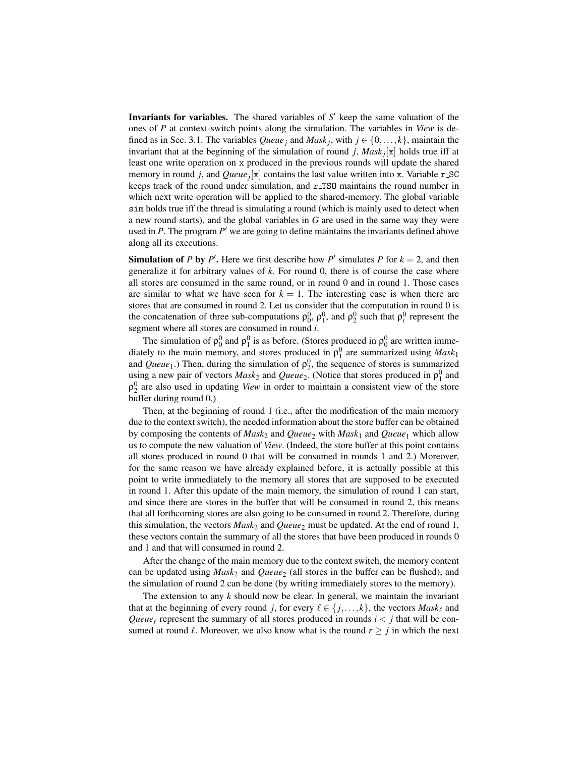Invariants for variables. The shared variables of S' keep the same valuation of the ones of *P* at context-switch points along the simulation. The variables in *View* is defined as in Sec. 3.1. The variables  $Queue_j$  and  $Mask_j$ , with  $j \in \{0, \ldots, k\}$ , maintain the invariant that at the beginning of the simulation of round *j*,  $Mask_j[x]$  holds true iff at least one write operation on x produced in the previous rounds will update the shared memory in round *j*, and *Queue<sup>j</sup>* [x] contains the last value written into x. Variable r SC keeps track of the round under simulation, and r TSO maintains the round number in which next write operation will be applied to the shared-memory. The global variable sim holds true iff the thread is simulating a round (which is mainly used to detect when a new round starts), and the global variables in *G* are used in the same way they were used in  $P$ . The program  $P'$  we are going to define maintains the invariants defined above along all its executions.

**Simulation of** *P* **by** *P'***. Here we first describe how** *P'* **simulates** *P* **for**  $k = 2$ **, and then** generalize it for arbitrary values of *k*. For round 0, there is of course the case where all stores are consumed in the same round, or in round 0 and in round 1. Those cases are similar to what we have seen for  $k = 1$ . The interesting case is when there are stores that are consumed in round 2. Let us consider that the computation in round 0 is the concatenation of three sub-computations  $\rho_0^0$ ,  $\rho_1^0$ , and  $\rho_2^0$  such that  $\rho_i^0$  represent the segment where all stores are consumed in round *i*.

The simulation of  $\rho_0^0$  and  $\rho_1^0$  is as before. (Stores produced in  $\rho_0^0$  are written immediately to the main memory, and stores produced in  $\rho_1^0$  are summarized using  $Mask_1$ and *Queue*<sub>1</sub>.) Then, during the simulation of  $\rho_2^0$ , the sequence of stores is summarized using a new pair of vectors  $Mask_2$  and  $Queue_2$ . (Notice that stores produced in  $\rho_1^0$  and  $\rho_2^0$  are also used in updating *View* in order to maintain a consistent view of the store buffer during round 0.)

Then, at the beginning of round 1 (i.e., after the modification of the main memory due to the context switch), the needed information about the store buffer can be obtained by composing the contents of  $Mask_2$  and *Queue*<sub>2</sub> with  $Mask_1$  and *Queue*<sub>1</sub> which allow us to compute the new valuation of *View*. (Indeed, the store buffer at this point contains all stores produced in round 0 that will be consumed in rounds 1 and 2.) Moreover, for the same reason we have already explained before, it is actually possible at this point to write immediately to the memory all stores that are supposed to be executed in round 1. After this update of the main memory, the simulation of round 1 can start, and since there are stores in the buffer that will be consumed in round 2, this means that all forthcoming stores are also going to be consumed in round 2. Therefore, during this simulation, the vectors  $Mask_2$  and  $Queue_2$  must be updated. At the end of round 1, these vectors contain the summary of all the stores that have been produced in rounds 0 and 1 and that will consumed in round 2.

After the change of the main memory due to the context switch, the memory content can be updated using  $Mask_2$  and  $Queue_2$  (all stores in the buffer can be flushed), and the simulation of round 2 can be done (by writing immediately stores to the memory).

The extension to any *k* should now be clear. In general, we maintain the invariant that at the beginning of every round *j*, for every  $\ell \in \{j,\ldots,k\}$ , the vectors *Mask*<sub> $\ell$ </sub> and *Queue*<sub> $\ell$ </sub> represent the summary of all stores produced in rounds  $i < j$  that will be consumed at round  $\ell$ . Moreover, we also know what is the round  $r \geq j$  in which the next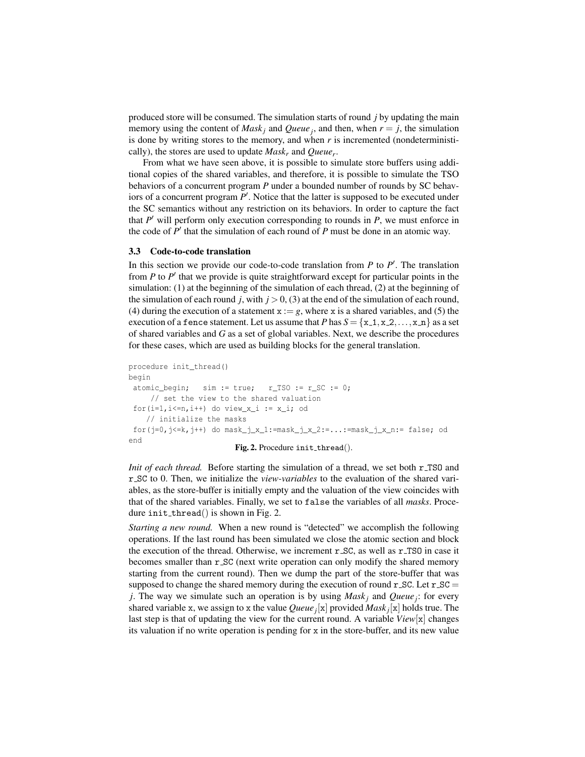produced store will be consumed. The simulation starts of round *j* by updating the main memory using the content of  $Mask_j$  and  $Queue_j$ , and then, when  $r = j$ , the simulation is done by writing stores to the memory, and when  $r$  is incremented (nondeterministically), the stores are used to update *Mask<sup>r</sup>* and *Queue<sup>r</sup>* .

From what we have seen above, it is possible to simulate store buffers using additional copies of the shared variables, and therefore, it is possible to simulate the TSO behaviors of a concurrent program *P* under a bounded number of rounds by SC behaviors of a concurrent program  $P'$ . Notice that the latter is supposed to be executed under the SC semantics without any restriction on its behaviors. In order to capture the fact that  $P'$  will perform only execution corresponding to rounds in  $P$ , we must enforce in the code of  $P'$  that the simulation of each round of  $P$  must be done in an atomic way.

#### 3.3 Code-to-code translation

In this section we provide our code-to-code translation from  $P$  to  $P'$ . The translation from  $P$  to  $P'$  that we provide is quite straightforward except for particular points in the simulation: (1) at the beginning of the simulation of each thread, (2) at the beginning of the simulation of each round *j*, with  $j > 0$ , (3) at the end of the simulation of each round, (4) during the execution of a statement  $x := g$ , where x is a shared variables, and (5) the execution of a fence statement. Let us assume that *P* has  $S = \{x_1, x_2, \ldots, x_n\}$  as a set of shared variables and *G* as a set of global variables. Next, we describe the procedures for these cases, which are used as building blocks for the general translation.

```
procedure init_thread()
begin
 atomic_begin; sim := true; r_TTSO := r_SC := 0;
     // set the view to the shared valuation
 for(i=1,i<=n,i++) do view_x_i := x_i; od
    // initialize the masks
 for(j=0,j<=k,j++) do mask_j_x1:=mask_j_x2:=...:=mask_j_xn:= false; od
end
                        Fig. 2. Procedure init_thread().
```
*Init of each thread.* Before starting the simulation of a thread, we set both r\_TS0 and r SC to 0. Then, we initialize the *view-variables* to the evaluation of the shared variables, as the store-buffer is initially empty and the valuation of the view coincides with that of the shared variables. Finally, we set to false the variables of all *masks*. Proce-

dure  $init\_thread()$  is shown in Fig. 2.

*Starting a new round.* When a new round is "detected" we accomplish the following operations. If the last round has been simulated we close the atomic section and block the execution of the thread. Otherwise, we increment r\_SC, as well as r\_TS0 in case it becomes smaller than r\_SC (next write operation can only modify the shared memory starting from the current round). Then we dump the part of the store-buffer that was supposed to change the shared memory during the execution of round  $r$  SC. Let  $r$  SC = *j*. The way we simulate such an operation is by using  $Mask_j$  and  $Queue_j$ ; for every shared variable x, we assign to x the value  $Queue_j[x]$  provided  $Mask_j[x]$  holds true. The last step is that of updating the view for the current round. A variable *View*[x] changes its valuation if no write operation is pending for x in the store-buffer, and its new value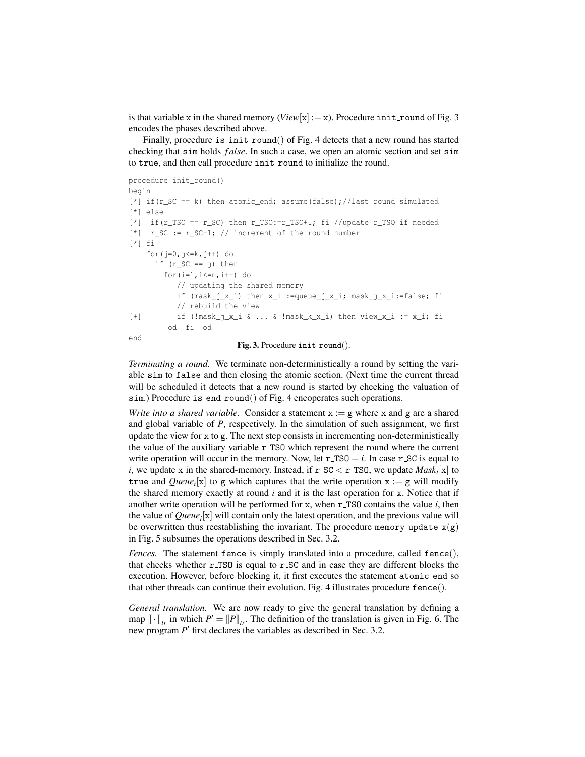is that variable x in the shared memory ( $View[x] := x$ ). Procedure init\_round of Fig. 3 encodes the phases described above.

Finally, procedure is init round() of Fig. 4 detects that a new round has started checking that sim holds *f alse*. In such a case, we open an atomic section and set sim to true, and then call procedure init round to initialize the round.

```
procedure init_round()
begin
[*] if(r_SC == k) then atomic_end; assume(false);//last round simulated
[*] else
\lceil * \rceil if(r_TSO == r_SC) then r_TSO:=r_TSO+1; fi //update r_TSO if needed
[*] r_SC := r_SC+1; // increment of the round number
[*] fi
    for(j=0,j<=k,j++) do
     if (r_SC == j) then
       for(i=1, i<=n, i++) do
           // updating the shared memory
           if (mask_j_x_i) then x_i :=queue_j_x_i; mask_j_x_i:=false; fi
           // rebuild the view
[+] if (!mask_j_x_i & ... & !mask_k_x_i) then view\_x_i := x_i; fi
         od fi od
end
```
#### Fig. 3. Procedure init\_round().

*Terminating a round.* We terminate non-deterministically a round by setting the variable sim to false and then closing the atomic section. (Next time the current thread will be scheduled it detects that a new round is started by checking the valuation of sim.) Procedure is end\_round() of Fig. 4 encoperates such operations.

*Write into a shared variable.* Consider a statement  $x := g$  where x and g are a shared and global variable of *P*, respectively. In the simulation of such assignment, we first update the view for x to g. The next step consists in incrementing non-deterministically the value of the auxiliary variable r TSO which represent the round where the current write operation will occur in the memory. Now, let  $r_TS = i$ . In case  $r_TS$  is equal to *i*, we update x in the shared-memory. Instead, if  $r$  SC <  $r$  TS0, we update  $Mask_i[x]$  to true and  $Queue_i[x]$  to g which captures that the write operation  $x := g$  will modify the shared memory exactly at round *i* and it is the last operation for x. Notice that if another write operation will be performed for x, when  $r$ <sub>-TSO</sub> contains the value  $i$ , then the value of *Queue<sup>i</sup>* [x] will contain only the latest operation, and the previous value will be overwritten thus reestablishing the invariant. The procedure memory update  $x(g)$ in Fig. 5 subsumes the operations described in Sec. 3.2.

*Fences.* The statement fence is simply translated into a procedure, called fence(), that checks whether r TSO is equal to r SC and in case they are different blocks the execution. However, before blocking it, it first executes the statement atomic\_end so that other threads can continue their evolution. Fig. 4 illustrates procedure fence().

*General translation.* We are now ready to give the general translation by defining a map  $[\![\cdot]\!]_{tr}$  in which  $P' = [\![P]\!]_{tr}$ . The definition of the translation is given in Fig. 6. The new program  $P'$  first declares the variables as described in Sec. 3.2.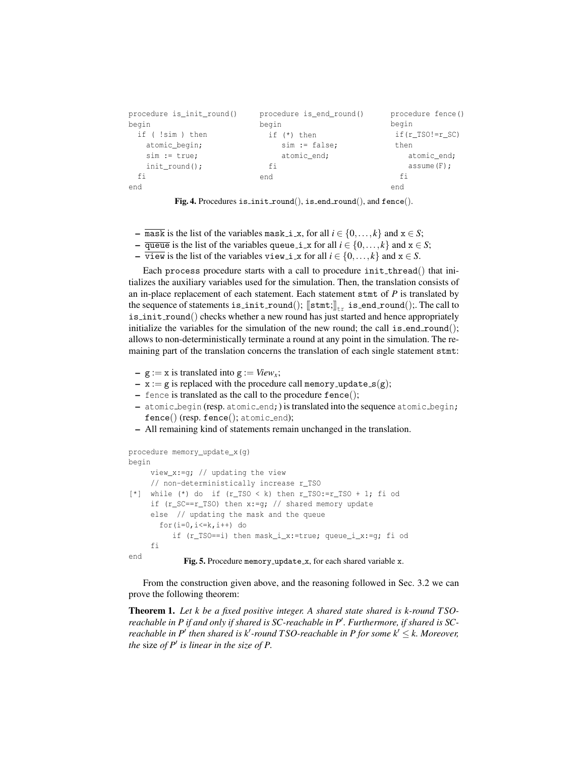```
procedure is_init_round()
begin
 if ( !sim ) then
   atomic_begin;
   sim := true;
   init_round();
  fi
end
                           procedure is end round()
                             begin
                             if (*) then
                                sim := false;
                                  atomic_end;
                              fi
                             end
                                                          procedure fence()
                                                          begin
                                                          if(r_TSO!=r_SC)
                                                           then
                                                              atomic_end;
                                                              assume(F);
                                                             fi
                                                           end
```
Fig. 4. Procedures is init round(), is end round(), and fence().

- $\overline{\text{mask}}$  is the list of the variables mask i\_x, for all  $i \in \{0, ..., k\}$  and  $x \in S$ ;
- $\overline{\mathbf{q}}$  and  $\overline{\mathbf{r}}$  is the list of the variables queue i x for all *i* ∈ {0,...,*k*} and  $\mathbf{x} \in S$ ;
- $\overline{\mathbf{v}}$  is the list of the variables view i\_x for all  $i \in \{0, \ldots, k\}$  and  $x \in S$ .

Each process procedure starts with a call to procedure init\_thread() that initializes the auxiliary variables used for the simulation. Then, the translation consists of an in-place replacement of each statement. Each statement stmt of *P* is translated by the sequence of statements is init round();  $[\text{stmt:}]_{t_r}$  is end round();. The call to is \_init\_round() checks whether a new round has just started and hence appropriately initialize the variables for the simulation of the new round; the call  $is$  end round(); allows to non-deterministically terminate a round at any point in the simulation. The remaining part of the translation concerns the translation of each single statement stmt:

- $-$  g := x is translated into g := *View<sub>x</sub>*;
- $x := g$  is replaced with the procedure call memory\_update\_s(g);
- fence is translated as the call to the procedure fence();
- atomic\_begin (resp. atomic\_end;) is translated into the sequence atomic\_begin;  $fence() (resp. fence(); atomic-end);$
- All remaining kind of statements remain unchanged in the translation.

```
procedure memory_update_x(g)
begin
     view_x:=g; // updating the view
     // non-deterministically increase r_TSO
[*] while (*) do if (r_T^rS0 < k) then r_T^rS0 := r_T^rS0 + 1; fi od
     if (r_SC==r_TSO) then x:=g; // shared memory update
     else // updating the mask and the queue
       for(i=0, i<=k, i++) do
          if (r_TSO==i) then mask_i_x:=true; queue_i_x:=g; fi od
     fi
```
end **Fig. 5.** Procedure memory update x, for each shared variable x.

From the construction given above, and the reasoning followed in Sec. 3.2 we can prove the following theorem:

Theorem 1. *Let k be a fixed positive integer. A shared state shared is k-round T SO*reachable in P if and only if shared is SC-reachable in P<sup>'</sup>. Furthermore, if shared is SC*reachable in P' then shared is k'-round T SO-reachable in P for some k'*  $\leq$  *k. Moreover, the* size *of*  $P'$  *is linear in the size of*  $P$ *.*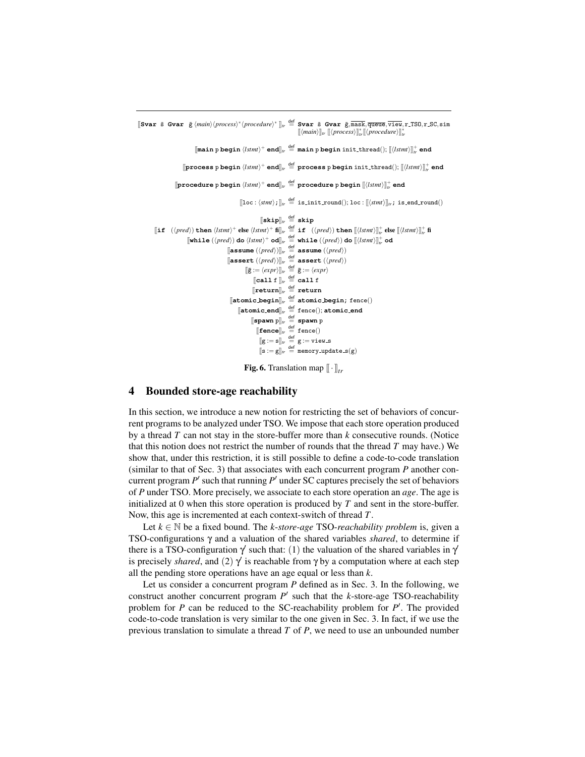```
[Svar s̄ Gvar \bar{g} \main\\process}*\procedure\* ]_tr \stackrel{\text{def}}{=} Svar s̄ Gvar \bar{g}, \overline{\text{mass}}, \overline{\text{queue}}, \overline{\text{view}}, r_TSO, r_SC, sim
                                                                                                                                                                                 \llbracket \langle \textit{main} \rangle \rrbracket_{tr} \llbracket \langle \textit{process} \rangle \rrbracket_{tr}^* \llbracket \langle \textit{procedure} \rangle \rrbracket_{tr}^*[\![\texttt{main}\!]_p begin \langle\mathit{Istm}\rangle^+ \!texttt{end}]_p \stackrel{\text{def}}{=} \texttt{main}\!]_p begin \texttt{init\_thread}(); [\![\langle\mathit{Istm}\rangle]\!]_r^+ \!texttt{end}[\![ \texttt{process}\!] \texttt{p} begin \langle\mathit{Istmt}\rangle^+ \texttt{end}]\!l_r} \stackrel{\text{def}}{=} \texttt{process}\!] \texttt{p} begin \texttt{init-thread}();\allowbreak [\![\langle\mathit{Istmt}\rangle]\!]_r^+ \texttt{end}[\![\texttt{procedure}\!] p \texttt{begin}\langle lstm\rangle^{+}\!\!\!\mid\mathsf{end}\!]_{tr}^{\dagger} \stackrel{\text{def}}{=} \verb|procedure}\!] p \texttt{begin}\langle\langle lstm\rangle\rangle\rVert_{tr}^{+}\!\!\!\mid\mathsf{end}\![\text{loc} : \langle \textit{stm} \rangle; \rrbracket_{tr} \stackrel{\text{def}}{=} \text{is} \text{.init\_round}(); \text{loc} : [\langle \textit{stmt} \rangle]_{tr}; \text{ is} \text{.end\_round}()[\hspace{-1.5pt}[skip]\hspace{-1.5pt}]_{tr} \stackrel{\mathsf{def}}{=} skip
                  \begin{array}{l} \parallel \textbf{if} \quad (\langle pred \rangle) \textbf{ then } \langle \textit{Istm} \rangle^+ \textbf{ else } \langle \textit{Istm} \rangle^+ \textbf{ fi} \parallel_{tr} \stackrel{\text{def}}{=} \textbf{ if } \quad (\langle \textit{pred} \rangle) \textbf{ then } [\! [ \langle \textit{Istm} \rangle \!]_{tr}^+ \textbf{ else } [\! [ \langle \textit{Istm} \rangle \!]_{tr}^+ \textbf{ fi} \rbrace ] \end{array}[\![\text{while}\ (\langle pred \rangle) \text{ do } \langle \textit{Istm} \rangle^+ \text{ od}]\!]_{tr} \overset{\text{def}}{=} \text{while}\ (\langle \textit{pred} \rangle) \text{ do } [\![\langle \textit{Istm} \rangle]\!]_{tr}^+ \text{ od}[\hspace{-1.5pt}[ \texttt{assume}\, (\langle pred \rangle)]\hspace{-1.5pt}]_{tr} \stackrel{\texttt{def}}{=} \texttt{assume}\, (\langle pred \rangle)[\hspace{0.1cm}[\mathbf{assert}\ (\langle pred \rangle)]\vert_{tr}\stackrel{\mathsf{def}}{=} \mathbf{assert}\ (\langle pred \rangle)\llbracket \bar{\mathbf{g}} := \langle \exp r \rangle \rrbracket_{tr} \stackrel{\mathsf{def}}{=} \bar{\mathbf{g}} := \langle \exp r \rangle[\texttt{call f}]_{tr} \stackrel{\text{def}}{=} \texttt{call f}[\![ \texttt{return} ]\!]_{tr} \stackrel{\text{def}}{=} \texttt{return}[\begin{matrix} \texttt{atomic} & \texttt{begin}} \end{matrix}]\begin{matrix} \texttt{def} \end{matrix} \texttt{atomic} \end{matrix} \texttt{begin}; fence()
                                                                                                              [\begin{bmatrix} \texttt{atomic\_end} \end{bmatrix}]tr \stackrel{\text{def}}{=} fence(); atomic_end
                                                                                                                             [\hspace{-1.5pt}[ spawn p]\hspace{-1.5pt}]_{tr} \stackrel{\text{def}}{=} spawn p
                                                                                                                                   [\![\texttt{fence}]\!]_t<sup>def</sup> \verb!fence()[\![\mathsf{g}\!:=\mathsf{s}]\!]_{\scriptscriptstyle{I\!T}}\stackrel{\scriptscriptstyle\mathsf{def}}{=} \mathsf{g}\!:=\!\mathsf{view}\_\mathsf{s}[\hspace{-1.5pt}[\mathbf{s}\hspace{-1.5pt}:=\hspace{-1.5pt}\mathbf{g}]\hspace{-1.5pt}]_{tr}\stackrel{\mathsf{def}}{=} memory_update_s(g)
```
**Fig. 6.** Translation map  $\lbrack \lbrack \cdot \rbrack \rbrack_{tr}$ 

## 4 Bounded store-age reachability

In this section, we introduce a new notion for restricting the set of behaviors of concurrent programs to be analyzed under TSO. We impose that each store operation produced by a thread *T* can not stay in the store-buffer more than *k* consecutive rounds. (Notice that this notion does not restrict the number of rounds that the thread *T* may have.) We show that, under this restriction, it is still possible to define a code-to-code translation (similar to that of Sec. 3) that associates with each concurrent program *P* another concurrent program  $P'$  such that running  $P'$  under SC captures precisely the set of behaviors of *P* under TSO. More precisely, we associate to each store operation an *age*. The age is initialized at 0 when this store operation is produced by *T* and sent in the store-buffer. Now, this age is incremented at each context-switch of thread *T*.

Let *k* ∈ N be a fixed bound. The *k*-*store-age* TSO-*reachability problem* is, given a TSO-configurations γ and a valuation of the shared variables *shared*, to determine if there is a TSO-configuration  $\gamma'$  such that: (1) the valuation of the shared variables in  $\gamma'$ is precisely *shared*, and  $(2)$   $\gamma'$  is reachable from  $\gamma$  by a computation where at each step all the pending store operations have an age equal or less than *k*.

Let us consider a concurrent program *P* defined as in Sec. 3. In the following, we construct another concurrent program  $P'$  such that the  $k$ -store-age TSO-reachability problem for  $P$  can be reduced to the SC-reachability problem for  $P'$ . The provided code-to-code translation is very similar to the one given in Sec. 3. In fact, if we use the previous translation to simulate a thread *T* of *P*, we need to use an unbounded number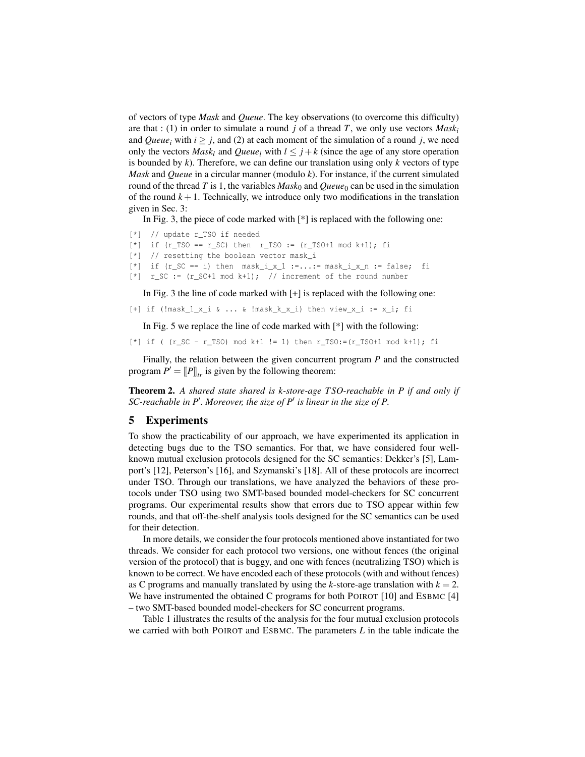of vectors of type *Mask* and *Queue*. The key observations (to overcome this difficulty) are that : (1) in order to simulate a round *j* of a thread *T*, we only use vectors *Mask<sup>i</sup>* and *Queue*<sub>*i*</sub> with  $i \geq j$ , and (2) at each moment of the simulation of a round *j*, we need only the vectors *Mask<sub>l</sub>* and *Queue<sub>l</sub>* with  $l \leq j + k$  (since the age of any store operation is bounded by *k*). Therefore, we can define our translation using only *k* vectors of type *Mask* and *Queue* in a circular manner (modulo *k*). For instance, if the current simulated round of the thread *T* is 1, the variables  $Mask_0$  and  $Queue_0$  can be used in the simulation of the round  $k+1$ . Technically, we introduce only two modifications in the translation given in Sec. 3:

In Fig. 3, the piece of code marked with [\*] is replaced with the following one:

```
[*] // update r_TSO if needed
```

```
\lceil * \rceil if (r_TSO == r_SC) then r_TSO := (r_TSO+1 mod k+1); fi
```

```
[*] // resetting the boolean vector mask_i
```
 $[\star]$  if (r\_SC == i) then mask\_i\_x\_1 :=...:= mask\_i\_x\_n := false; fi

 $[\star]$  r\_SC := (r\_SC+1 mod k+1); // increment of the round number

In Fig. 3 the line of code marked with [+] is replaced with the following one:

[+] if  $(\text{Imask}_1_x_i \& \dots \& \text{Imask}_k_x_i)$  then view\_x\_i := x\_i; fi

In Fig. 5 we replace the line of code marked with [\*] with the following:

[\*] if (  $(r\_SC - r\_TS0)$  mod k+1 != 1) then  $r\_TS0:=(r\_TS0+1 \mod k+1)$ ; fi

Finally, the relation between the given concurrent program *P* and the constructed program  $P' = [P]_{tr}$  is given by the following theorem:

Theorem 2. *A shared state shared is k-store-age T SO-reachable in P if and only if SC-reachable in P'. Moreover, the size of P' is linear in the size of P.* 

#### 5 Experiments

To show the practicability of our approach, we have experimented its application in detecting bugs due to the TSO semantics. For that, we have considered four wellknown mutual exclusion protocols designed for the SC semantics: Dekker's [5], Lamport's [12], Peterson's [16], and Szymanski's [18]. All of these protocols are incorrect under TSO. Through our translations, we have analyzed the behaviors of these protocols under TSO using two SMT-based bounded model-checkers for SC concurrent programs. Our experimental results show that errors due to TSO appear within few rounds, and that off-the-shelf analysis tools designed for the SC semantics can be used for their detection.

In more details, we consider the four protocols mentioned above instantiated for two threads. We consider for each protocol two versions, one without fences (the original version of the protocol) that is buggy, and one with fences (neutralizing TSO) which is known to be correct. We have encoded each of these protocols (with and without fences) as C programs and manually translated by using the *k*-store-age translation with  $k = 2$ . We have instrumented the obtained C programs for both POIROT [10] and ESBMC [4] – two SMT-based bounded model-checkers for SC concurrent programs.

Table 1 illustrates the results of the analysis for the four mutual exclusion protocols we carried with both POIROT and ESBMC. The parameters *L* in the table indicate the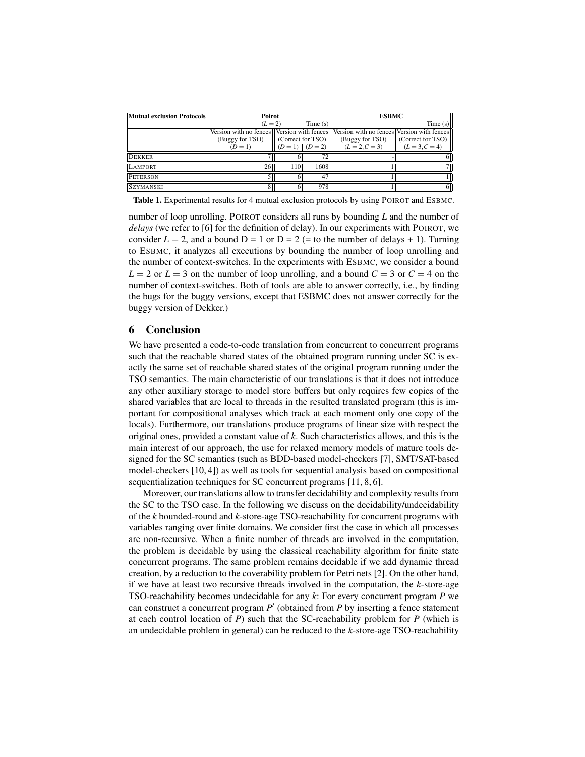| Mutual exclusion Protocols | Poirot               |                   |                 | <b>ESBMC</b>                                                                          |                   |
|----------------------------|----------------------|-------------------|-----------------|---------------------------------------------------------------------------------------|-------------------|
|                            | $(L = 2)$<br>Time(s) |                   |                 | Time $(s)$                                                                            |                   |
|                            |                      |                   |                 | Version with no fences Version with fences Version with no fences Version with fences |                   |
|                            | (Buggy for TSO)      | (Correct for TSO) |                 | (Buggy for TSO)                                                                       | (Correct for TSO) |
|                            | $(D=1)$              |                   | $(D=1)$ $(D=2)$ | $(L = 2, C = 3)$                                                                      | $(L = 3, C = 4)$  |
| <b>DEKKER</b>              |                      |                   | 721             |                                                                                       |                   |
| LAMPORT                    | 26                   | 110               | 1608            |                                                                                       |                   |
| PETERSON                   |                      |                   | 47              |                                                                                       |                   |
| <b>SZYMANSKI</b>           |                      |                   | 9781            |                                                                                       |                   |

Table 1. Experimental results for 4 mutual exclusion protocols by using POIROT and ESBMC.

number of loop unrolling. POIROT considers all runs by bounding *L* and the number of *delays* (we refer to [6] for the definition of delay). In our experiments with POIROT, we consider  $L = 2$ , and a bound  $D = 1$  or  $D = 2$  (= to the number of delays + 1). Turning to ESBMC, it analyzes all executions by bounding the number of loop unrolling and the number of context-switches. In the experiments with ESBMC, we consider a bound  $L = 2$  or  $L = 3$  on the number of loop unrolling, and a bound  $C = 3$  or  $C = 4$  on the number of context-switches. Both of tools are able to answer correctly, i.e., by finding the bugs for the buggy versions, except that ESBMC does not answer correctly for the buggy version of Dekker.)

## 6 Conclusion

We have presented a code-to-code translation from concurrent to concurrent programs such that the reachable shared states of the obtained program running under SC is exactly the same set of reachable shared states of the original program running under the TSO semantics. The main characteristic of our translations is that it does not introduce any other auxiliary storage to model store buffers but only requires few copies of the shared variables that are local to threads in the resulted translated program (this is important for compositional analyses which track at each moment only one copy of the locals). Furthermore, our translations produce programs of linear size with respect the original ones, provided a constant value of *k*. Such characteristics allows, and this is the main interest of our approach, the use for relaxed memory models of mature tools designed for the SC semantics (such as BDD-based model-checkers [7], SMT/SAT-based model-checkers [10, 4]) as well as tools for sequential analysis based on compositional sequentialization techniques for SC concurrent programs [11, 8, 6].

Moreover, our translations allow to transfer decidability and complexity results from the SC to the TSO case. In the following we discuss on the decidability/undecidability of the *k* bounded-round and *k*-store-age TSO-reachability for concurrent programs with variables ranging over finite domains. We consider first the case in which all processes are non-recursive. When a finite number of threads are involved in the computation, the problem is decidable by using the classical reachability algorithm for finite state concurrent programs. The same problem remains decidable if we add dynamic thread creation, by a reduction to the coverability problem for Petri nets [2]. On the other hand, if we have at least two recursive threads involved in the computation, the *k*-store-age TSO-reachability becomes undecidable for any *k*: For every concurrent program *P* we can construct a concurrent program  $P'$  (obtained from P by inserting a fence statement at each control location of *P*) such that the SC-reachability problem for *P* (which is an undecidable problem in general) can be reduced to the *k*-store-age TSO-reachability